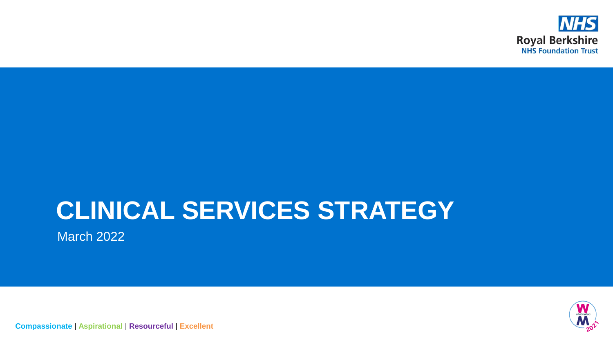

# **CLINICAL SERVICES STRATEGY**

March 2022



**Compassionate** | **Aspirational** | **Resourceful** | **Excellent**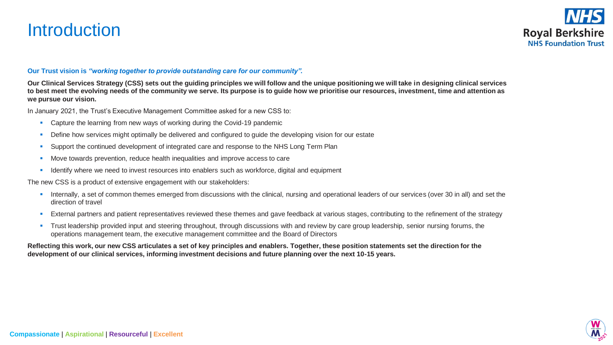# **Introduction**



### **Our Trust vision is** *"working together to provide outstanding care for our community"***.**

**Our Clinical Services Strategy (CSS) sets out the guiding principles we will follow and the unique positioning we will take in designing clinical services to best meet the evolving needs of the community we serve. Its purpose is to guide how we prioritise our resources, investment, time and attention as we pursue our vision.** 

In January 2021, the Trust's Executive Management Committee asked for a new CSS to:

- **Capture the learning from new ways of working during the Covid-19 pandemic**
- Define how services might optimally be delivered and configured to guide the developing vision for our estate
- **•** Support the continued development of integrated care and response to the NHS Long Term Plan
- Move towards prevention, reduce health inequalities and improve access to care
- **EXECT** Identify where we need to invest resources into enablers such as workforce, digital and equipment

The new CSS is a product of extensive engagement with our stakeholders:

- Internally, a set of common themes emerged from discussions with the clinical, nursing and operational leaders of our services (over 30 in all) and set the direction of travel
- **External partners and patient representatives reviewed these themes and gave feedback at various stages, contributing to the refinement of the strategy**
- **•** Trust leadership provided input and steering throughout, through discussions with and review by care group leadership, senior nursing forums, the operations management team, the executive management committee and the Board of Directors

**Reflecting this work, our new CSS articulates a set of key principles and** *e***nablers. Together, these position statements set the direction for the development of our clinical services, informing investment decisions and future planning over the next 10-15 years.**

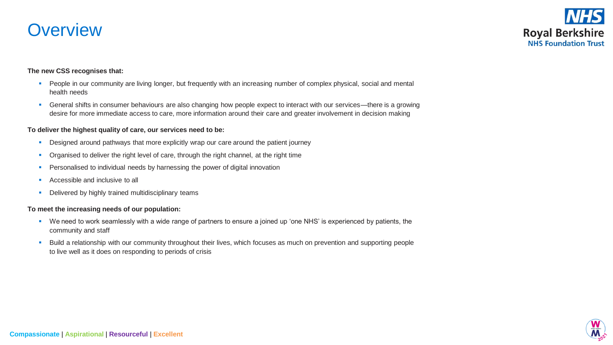# **Overview**



#### **The new CSS recognises that:**

- **•** People in our community are living longer, but frequently with an increasing number of complex physical, social and mental health needs
- General shifts in consumer behaviours are also changing how people expect to interact with our services—there is a growing desire for more immediate access to care, more information around their care and greater involvement in decision making

#### **To deliver the highest quality of care, our services need to be:**

- **•** Designed around pathways that more explicitly wrap our care around the patient journey
- **•** Organised to deliver the right level of care, through the right channel, at the right time
- **•** Personalised to individual needs by harnessing the power of digital innovation
- Accessible and inclusive to all
- **•** Delivered by highly trained multidisciplinary teams

#### **To meet the increasing needs of our population:**

- We need to work seamlessly with a wide range of partners to ensure a joined up 'one NHS' is experienced by patients, the community and staff
- **EXECT A** Build a relationship with our community throughout their lives, which focuses as much on prevention and supporting people to live well as it does on responding to periods of crisis

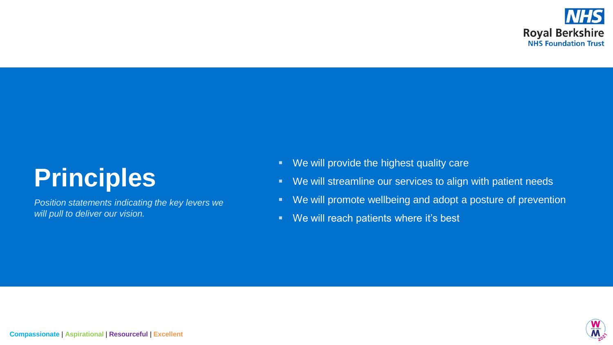

# **Principles**

*Position statements indicating the key levers we will pull to deliver our vision.*

- We will provide the highest quality care
- We will streamline our services to align with patient needs
- We will promote wellbeing and adopt a posture of prevention
- We will reach patients where it's best

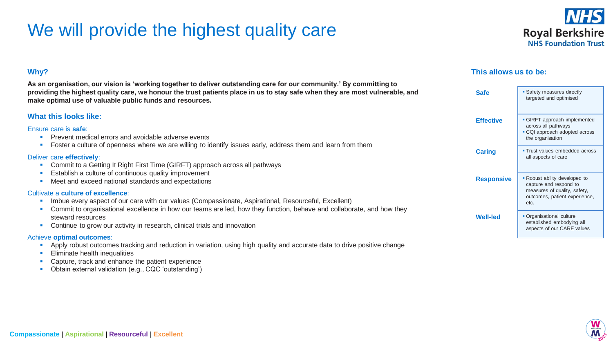# We will provide the highest quality care

**As an organisation, our vision is 'working together to deliver outstanding care for our community.' By committing to** 



### **This allows us to be:**

| providing the highest quality care, we honour the trust patients place in us to stay safe when they are most vulnerable, and<br><b>Safe</b><br>make optimal use of valuable public funds and resources.                                                                                                                                                                                                                                                                                 |                   | • Safety measures directly<br>targeted and optimised                                                                             |
|-----------------------------------------------------------------------------------------------------------------------------------------------------------------------------------------------------------------------------------------------------------------------------------------------------------------------------------------------------------------------------------------------------------------------------------------------------------------------------------------|-------------------|----------------------------------------------------------------------------------------------------------------------------------|
| <b>What this looks like:</b><br>Ensure care is <b>safe</b> :<br>Prevent medical errors and avoidable adverse events                                                                                                                                                                                                                                                                                                                                                                     | <b>Effective</b>  | • GIRFT approach implemented<br>across all pathways<br>• CQI approach adopted across<br>the organisation                         |
| Foster a culture of openness where we are willing to identify issues early, address them and learn from them<br>Deliver care effectively:<br>Commit to a Getting It Right First Time (GIRFT) approach across all pathways<br>Establish a culture of continuous quality improvement<br>Meet and exceed national standards and expectations<br>Cultivate a culture of excellence:<br>Imbue every aspect of our care with our values (Compassionate, Aspirational, Resourceful, Excellent) | <b>Caring</b>     | • Trust values embedded across<br>all aspects of care                                                                            |
|                                                                                                                                                                                                                                                                                                                                                                                                                                                                                         | <b>Responsive</b> | • Robust ability developed to<br>capture and respond to<br>measures of quality, safety,<br>outcomes, patient experience,<br>etc. |
| Commit to organisational excellence in how our teams are led, how they function, behave and collaborate, and how they<br>steward resources<br>Continue to grow our activity in research, clinical trials and innovation<br>Achieve entimed enterpress.                                                                                                                                                                                                                                  | <b>Well-led</b>   | • Organisational culture<br>established embodying all<br>aspects of our CARE values                                              |

#### Achieve **optimal outcomes**:

**Why?**

- **•** Apply robust outcomes tracking and reduction in variation, using high quality and accurate data to drive positive change
- **Eliminate health inequalities**

**Compassionate** | **Aspirational** | **Resourceful** | **Excellent**

- Capture, track and enhance the patient experience
- Obtain external validation (e.g., CQC 'outstanding')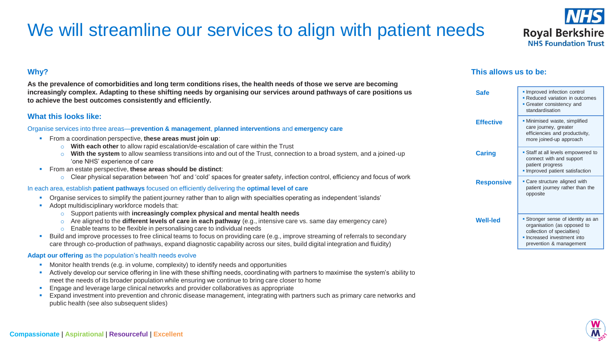# We will streamline our services to align with patient needs

# **Why?**

**As the prevalence of comorbidities and long term conditions rises, the health needs of those we serve are becoming increasingly complex. Adapting to these shifting needs by organising our services around pathways of care positions us to achieve the best outcomes consistently and efficiently.**

### **What this looks like:**

#### Organise services into three areas—**prevention & management**, **planned interventions** and **emergency care**

- From a coordination perspective, **these areas must join up**:
	- o **With each other** to allow rapid escalation/de-escalation of care within the Trust
	- o **With the system** to allow seamless transitions into and out of the Trust, connection to a broad system, and a joined-up 'one NHS' experience of care
- From an estate perspective, **these areas should be distinct**:
	- $\circ$  Clear physical separation between 'hot' and 'cold' spaces for greater safety, infection control, efficiency and focus of work

#### In each area, establish **patient pathways** focused on efficiently delivering the **optimal level of care**

- Organise services to simplify the patient journey rather than to align with specialties operating as independent 'islands'
- Adopt multidisciplinary workforce models that:
	- o Support patients with **increasingly complex physical and mental health needs**
	- o Are aligned to the **different levels of care in each pathway** (e.g., intensive care vs. same day emergency care)
	- o Enable teams to be flexible in personalising care to individual needs
- **E** Build and improve processes to free clinical teams to focus on providing care (e.g., improve streaming of referrals to secondary care through co-production of pathways, expand diagnostic capability across our sites, build digital integration and fluidity)

### **Adapt our offering** as the population's health needs evolve

- **•** Monitor health trends (e.g. in volume, complexity) to identify needs and opportunities
- **EXECT Actively develop our service offering in line with these shifting needs, coordinating with partners to maximise the system's ability to** meet the needs of its broader population while ensuring we continue to bring care closer to home
- **Engage and leverage large clinical networks and provider collaboratives as appropriate**
- Expand investment into prevention and chronic disease management, integrating with partners such as primary care networks and public health (see also subsequent slides)

# **This allows us to be:**

**Safe F** Improved infection control

**Effective | · Minimised waste, simplified** 

**Caring F** Staff at all levels empowered to

**Responsive | Care structure aligned with** 

opposite

**Well-led •** Stronger sense of identity as an





**Reduced variation in outcomes • Greater consistency and** standardisation

care journey, greater efficiencies and productivity, more joined-up approach

connect with and support patient progress

**.** Improved patient satisfaction

patient journey rather than the

organisation (as opposed to collection of specialties) **.** Increased investment into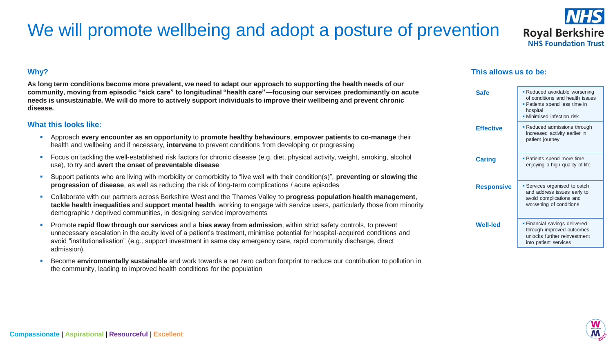# We will promote wellbeing and adopt a posture of prevention

**Why?**

**As long term conditions become more prevalent, we need to adapt our approach to supporting the health needs of our community, moving from episodic "sick care" to longitudinal "health care"—focusing our services predominantly on acute needs is unsustainable. We will do more to actively support individuals to improve their wellbeing and prevent chronic disease.**

### **What this looks like:**

- Approach **every encounter as an opportunity** to **promote healthy behaviours**, **empower patients to co-manage** their health and wellbeing and if necessary, **intervene** to prevent conditions from developing or progressing
- **•** Focus on tackling the well-established risk factors for chronic disease (e.g. diet, physical activity, weight, smoking, alcohol use), to try and **avert the onset of preventable disease**
- Support patients who are living with morbidity or comorbidity to "live well with their condition(s)", **preventing or slowing the progression of disease**, as well as reducing the risk of long-term complications / acute episodes
- Collaborate with our partners across Berkshire West and the Thames Valley to **progress population health management**, **tackle health inequalities** and **support mental health**, working to engage with service users, particularly those from minority demographic / deprived communities, in designing service improvements
- Promote **rapid flow through our services** and a **bias away from admission**, within strict safety controls, to prevent unnecessary escalation in the acuity level of a patient's treatment, minimise potential for hospital-acquired conditions and avoid "institutionalisation" (e.g., support investment in same day emergency care, rapid community discharge, direct admission)
- Become **environmentally sustainable** and work towards a net zero carbon footprint to reduce our contribution to pollution in the community, leading to improved health conditions for the population

# **This allows us to be:**





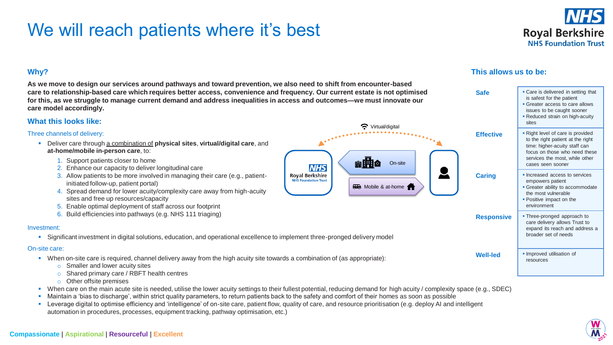# We will reach patients where it's best



# **Why?**

**As we move to design our services around pathways and toward prevention, we also need to shift from encounter-based care to relationship-based care which requires better access, convenience and frequency. Our current estate is not optimised for this, as we struggle to manage current demand and address inequalities in access and outcomes—we must innovate our care model accordingly.**

### **What this looks like:**

#### Three channels of delivery:

- Deliver care through a combination of **physical sites**, **virtual/digital care**, and **at-home/mobile in-person care**, to:
	- 1. Support patients closer to home
	- 2. Enhance our capacity to deliver longitudinal care
	- 3. Allow patients to be more involved in managing their care (e.g., patientinitiated follow-up, patient portal)
	- 4. Spread demand for lower acuity/complexity care away from high-acuity sites and free up resources/capacity
	- 5. Enable optimal deployment of staff across our footprint
	- 6. Build efficiencies into pathways (e.g. NHS 111 triaging)

#### Investment:

▪ Significant investment in digital solutions, education, and operational excellence to implement three-pronged delivery model

#### On-site care:

- When on-site care is required, channel delivery away from the high acuity site towards a combination of (as appropriate):
	- o Smaller and lower acuity sites
	- o Shared primary care / RBFT health centres
	- o Other offsite premises
- When care on the main acute site is needed, utilise the lower acuity settings to their fullest potential, reducing demand for high acuity / complexity space (e.g., SDEC)
- Maintain a 'bias to discharge', within strict quality parameters, to return patients back to the safety and comfort of their homes as soon as possible
- Leverage digital to optimise efficiency and 'intelligence' of on-site care, patient flow, quality of care, and resource prioritisation (e.g. deploy AI and intelligent automation in procedures, processes, equipment tracking, pathway optimisation, etc.)

# **This allows us to be:**

On-site

**Rude** Mobile & at-home

●開始

**NHS Royal Berkshire NHS Foundation Trust** 

 $\bullet$  Virtual/digital



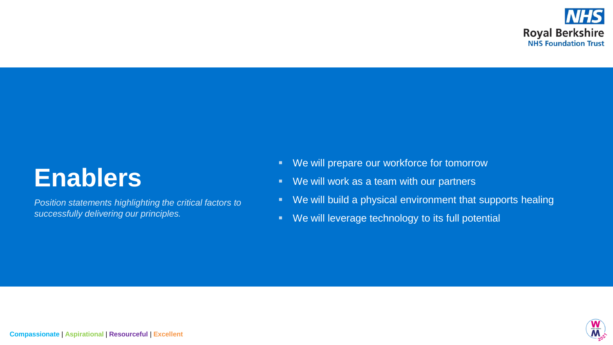

# **Enablers**

*Position statements highlighting the critical factors to successfully delivering our principles.*

- We will prepare our workforce for tomorrow
- We will work as a team with our partners
- We will build a physical environment that supports healing
- We will leverage technology to its full potential

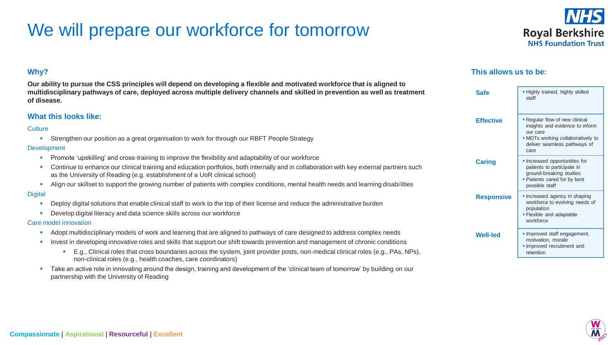# We will prepare our workforce for tomorrow



### **This allows us to be:**

| <b>Safe</b>       | . Highly trained, highly skilled<br>staff                                                                                                                  |
|-------------------|------------------------------------------------------------------------------------------------------------------------------------------------------------|
| <b>Effective</b>  | • Regular flow of new clinical<br>insights and evidence to inform<br>our care<br>• MDTs working collaboratively to<br>deliver seamless pathways of<br>care |
| <b>Caring</b>     | • Increased opportunities for<br>patients to participate in<br>ground-breaking studies<br>• Patients cared for by best<br>possible staff                   |
| <b>Responsive</b> | • Increased agency in shaping<br>workforce to evolving needs of<br>population<br>- Flexible and adaptable<br>workforce                                     |
| <b>Well-led</b>   | . Improved staff engagement,<br>motivation, morale<br>Improved recruitment and<br>retention                                                                |

# **Why?**

**Our ability to pursue the CSS principles will depend on developing a flexible and motivated workforce that is aligned to multidisciplinary pathways of care, deployed across multiple delivery channels and skilled in prevention as well as treatment of disease.**

### **What this looks like:**

#### **Culture**

**EXECT** Strengthen our position as a great organisation to work for through our RBFT People Strategy

#### Development

- Promote 'upskilling' and cross-training to improve the flexibility and adaptability of our workforce
- Continue to enhance our clinical training and education portfolios, both internally and in collaboration with key external partners such as the University of Reading (e.g. establishment of a UoR clinical school)
- **E.** Align our skillset to support the growing number of patients with complex conditions, mental health needs and learning disabilities

#### **Digital**

- Deploy digital solutions that enable clinical staff to work to the top of their license and reduce the administrative burden
- Develop digital literacy and data science skills across our workforce

#### Care model innovation

- Adopt multidisciplinary models of work and learning that are aligned to pathways of care designed to address complex needs
- Invest in developing innovative roles and skills that support our shift towards prevention and management of chronic conditions
	- E.g., Clinical roles that cross boundaries across the system, joint provider posts, non-medical clinical roles (e.g., PAs, NPs), non-clinical roles (e.g., health coaches, care coordinators)
- **EXECT A** Take an active role in innovating around the design, training and development of the 'clinical team of tomorrow' by building on our partnership with the University of Reading

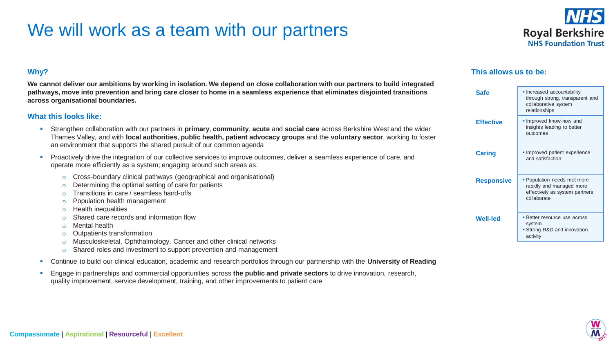# We will work as a team with our partners



# **Why?**

**We cannot deliver our ambitions by working in isolation. We depend on close collaboration with our partners to build integrated pathways, move into prevention and bring care closer to home in a seamless experience that eliminates disjointed transitions across organisational boundaries.** 

### **What this looks like:**

- Strengthen collaboration with our partners in **primary**, **community**, **acute** and **social care** across Berkshire West and the wider Thames Valley, and with **local authorities**, **public health, patient advocacy groups** and the **voluntary sector**, working to foster an environment that supports the shared pursuit of our common agenda
- Proactively drive the integration of our collective services to improve outcomes, deliver a seamless experience of care, and operate more efficiently as a system; engaging around such areas as:
	- o Cross-boundary clinical pathways (geographical and organisational)
	- o Determining the optimal setting of care for patients
	- o Transitions in care / seamless hand-offs
	- o Population health management
	- o Health inequalities
	- o Shared care records and information flow
	- o Mental health
	- o Outpatients transformation
	- o Musculoskeletal, Ophthalmology, Cancer and other clinical networks
	- o Shared roles and investment to support prevention and management
- **EXECT 1.1** Continue to build our clinical education, academic and research portfolios through our partnership with the **University of Reading**
- Engage in partnerships and commercial opportunities across **the public and private sectors** to drive innovation, research, quality improvement, service development, training, and other improvements to patient care

# **This allows us to be:**

| Safe              | • Increased accountability<br>through strong, transparent and<br>collaborative system<br>relationships   |
|-------------------|----------------------------------------------------------------------------------------------------------|
| <b>Effective</b>  | Improved know-how and<br>insights leading to better<br>outcomes                                          |
| <b>Caring</b>     | Improved patient experience<br>and satisfaction                                                          |
| <b>Responsive</b> | • Population needs met more<br>rapidly and managed more<br>effectively as system partners<br>collaborate |
| <b>Well-led</b>   | • Better resource use across<br>system<br>• Strong R&D and innovation<br>activity                        |

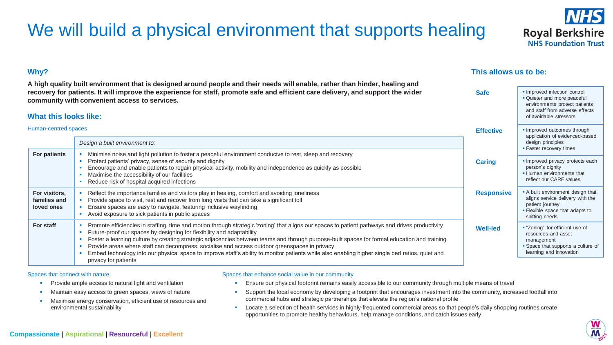# We will build a physical environment that supports healing

# **Why?**

**A high quality built environment that is designed around people and their needs will enable, rather than hinder, healing and recovery for patients. It will improve the experience for staff, promote safe and efficient care delivery, and support the wider community with convenient access to services.**

### **What this looks like:**

#### Human-centred spaces

|                                             |                                                                                                                                                                                                                                                                                                                                                                                                                                                                                                                                                                                                                                                      |                   | application of evidenced-based                                                                                                                |
|---------------------------------------------|------------------------------------------------------------------------------------------------------------------------------------------------------------------------------------------------------------------------------------------------------------------------------------------------------------------------------------------------------------------------------------------------------------------------------------------------------------------------------------------------------------------------------------------------------------------------------------------------------------------------------------------------------|-------------------|-----------------------------------------------------------------------------------------------------------------------------------------------|
|                                             | Design a built environment to:                                                                                                                                                                                                                                                                                                                                                                                                                                                                                                                                                                                                                       |                   | design principles<br>• Faster recovery times                                                                                                  |
| For patients                                | Minimise noise and light pollution to foster a peaceful environment conducive to rest, sleep and recovery<br>Protect patients' privacy, sense of security and dignity<br>Encourage and enable patients to regain physical activity, mobility and independence as quickly as possible<br>Maximise the accessibility of our facilities<br>Reduce risk of hospital acquired infections                                                                                                                                                                                                                                                                  | <b>Caring</b>     | · Improved privacy protects each<br>person's dignity<br>• Human environments that<br>reflect our CARE values                                  |
| For visitors,<br>families and<br>loved ones | Reflect the importance families and visitors play in healing, comfort and avoiding loneliness<br>Provide space to visit, rest and recover from long visits that can take a significant toll<br>Ensure spaces are easy to navigate, featuring inclusive wayfinding<br>Avoid exposure to sick patients in public spaces                                                                                                                                                                                                                                                                                                                                | <b>Responsive</b> | • A built environment design that<br>aligns service delivery with the<br>patient journey<br>• Flexible space that adapts to<br>shifting needs |
| For staff                                   | Promote efficiencies in staffing, time and motion through strategic 'zoning' that aligns our spaces to patient pathways and drives productivity<br>Future-proof our spaces by designing for flexibility and adaptability<br>Foster a learning culture by creating strategic adjacencies between teams and through purpose-built spaces for formal education and training<br>Provide areas where staff can decompress, socialise and access outdoor greenspaces in privacy<br>Embed technology into our physical space to improve staff's ability to monitor patients while also enabling higher single bed ratios, quiet and<br>privacy for patients | <b>Well-led</b>   | " "Zoning" for efficient use of<br>resources and asset<br>management<br>• Space that supports a culture of<br>learning and innovation         |

#### Spaces that connect with nature

- Provide ample access to natural light and ventilation
- Maintain easy access to green spaces, views of nature
- Maximise energy conservation, efficient use of resources and environmental sustainability

#### Spaces that enhance social value in our community

- **E** Ensure our physical footprint remains easily accessible to our community through multiple means of travel
- **•** Support the local economy by developing a footprint that encourages investment into the community, increased footfall into commercial hubs and strategic partnerships that elevate the region's national profile
- **EXECT:** Locate a selection of health services in highly-frequented commercial areas so that people's daily shopping routines create opportunities to promote healthy behaviours, help manage conditions, and catch issues early

## **This allows us to be:**

**Safe F** Improved infection control

**Effective Figure Figure Figure Effective Figure Figure E** 





**• Quieter and more peaceful** environments protect patients and staff from adverse effects of avoidable stressors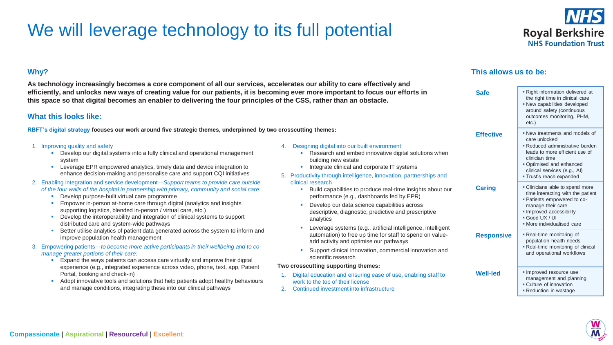# We will leverage technology to its full potential



## **Why?**

**As technology increasingly becomes a core component of all our services, accelerates our ability to care effectively and efficiently, and unlocks new ways of creating value for our patients, it is becoming ever more important to focus our efforts in this space so that digital becomes an enabler to delivering the four principles of the CSS, rather than an obstacle.**

### **What this looks like:**

**RBFT's digital strategy focuses our work around five strategic themes, underpinned by two crosscutting themes:**

#### 1. Improving quality and safety

- **•** Develop our digital systems into a fully clinical and operational management system
- **EXECTE EXECTED** EPR empowered analytics, timely data and device integration to enhance decision-making and personalise care and support CQI initiatives
- 2. Enabling integration and service development—*Support teams to provide care outside of the four walls of the hospital in partnership with primary, community and social care:*
	- Develop purpose-built virtual care programme
	- **Empower in-person at-home care through digital (analytics and insights** supporting logistics, blended in-person / virtual care, etc.)
	- Develop the interoperability and integration of clinical systems to support distributed care and system-wide pathways
	- Better utilise analytics of patient data generated across the system to inform and improve population health management
- 3. Empowering patients—*to become more active participants in their wellbeing and to comanage greater portions of their care:*
	- **Expand the ways patients can access care virtually and improve their digital** experience (e.g., integrated experience across video, phone, text, app, Patient Portal, booking and check-in)
	- Adopt innovative tools and solutions that help patients adopt healthy behaviours and manage conditions, integrating these into our clinical pathways

#### 4. Designing digital into our built environment

- Research and embed innovative digital solutions when building new estate
- **•** Integrate clinical and corporate IT systems
- 5. Productivity through intelligence, innovation, partnerships and clinical research
	- Build capabilities to produce real-time insights about our performance (e.g., dashboards fed by EPR)
	- Develop our data science capabilities across descriptive, diagnostic, predictive and prescriptive analytics
	- Leverage systems (e.g., artificial intelligence, intelligent automation) to free up time for staff to spend on valueadd activity and optimise our pathways
	- **EXECUTE:** Support clinical innovation, commercial innovation and scientific research

#### **Two crosscutting supporting themes:**

- 1. Digital education and ensuring ease of use, enabling staff to work to the top of their license
- 2. Continued investment into infrastructure

### **This allows us to be:**

| <b>Safe</b>       | - Right information delivered at<br>the right time in clinical care<br>• New capabilities developed<br>around safety (continuous<br>outcomes monitoring, PHM,<br>etc.)                                                         |
|-------------------|--------------------------------------------------------------------------------------------------------------------------------------------------------------------------------------------------------------------------------|
| <b>Effective</b>  | • New treatments and models of<br>care unlocked<br>• Reduced administrative burden<br>leads to more efficient use of<br>clinician time<br>• Optimised and enhanced<br>clinical services (e.g., Al)<br>- Trust's reach expanded |
| <b>Caring</b>     | • Clinicians able to spend more<br>time interacting with the patient<br>• Patients empowered to co-<br>manage their care<br>· Improved accessibility<br>Good UX / UI<br>• More individualised care                             |
| <b>Responsive</b> | • Real-time monitoring of<br>population health needs<br>• Real-time monitoring of clinical<br>and operational workflows                                                                                                        |
| <b>Well-led</b>   | • Improved resource use<br>management and planning<br>• Culture of innovation<br>• Reduction in wastage                                                                                                                        |

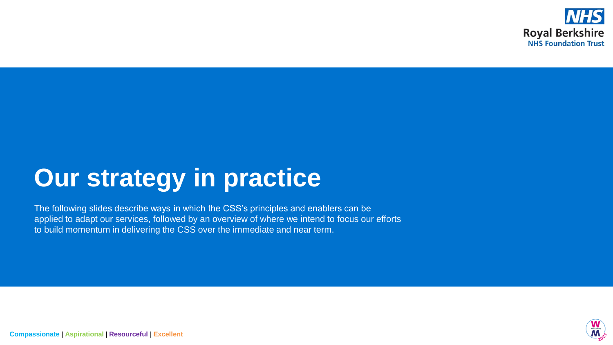

# **Our strategy in practice**

The following slides describe ways in which the CSS's principles and enablers can be applied to adapt our services, followed by an overview of where we intend to focus our efforts to build momentum in delivering the CSS over the immediate and near term.



**Compassionate** | **Aspirational** | **Resourceful** | **Excellent**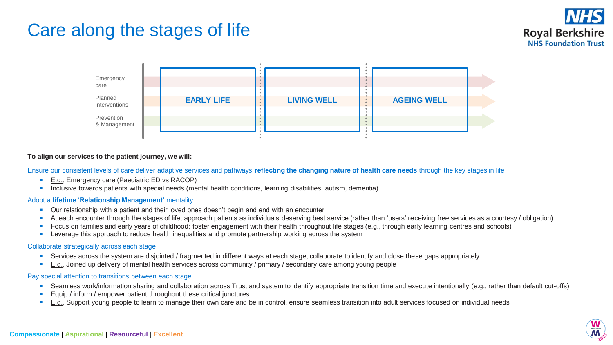# Care along the stages of life



### **To align our services to the patient journey, we will:**

Ensure our consistent levels of care deliver adaptive services and pathways **reflecting the changing nature of health care needs** through the key stages in life

- E.g., Emergency care (Paediatric ED vs RACOP)
- **·** Inclusive towards patients with special needs (mental health conditions, learning disabilities, autism, dementia)

#### Adopt a **lifetime 'Relationship Management'** mentality:

- **•** Our relationship with a patient and their loved ones doesn't begin and end with an encounter
- At each encounter through the stages of life, approach patients as individuals deserving best service (rather than 'users' receiving free services as a courtesy / obligation)
- Focus on families and early years of childhood; foster engagement with their health throughout life stages (e.g., through early learning centres and schools)
- **EXECTE 1.5 Leverage this approach to reduce health inequalities and promote partnership working across the system**

#### Collaborate strategically across each stage

- **EXP** Services across the system are disjointed / fragmented in different ways at each stage; collaborate to identify and close these gaps appropriately
- E.g., Joined up delivery of mental health services across community / primary / secondary care among young people

### Pay special attention to transitions between each stage

- Seamless work/information sharing and collaboration across Trust and system to identify appropriate transition time and execute intentionally (e.g., rather than default cut-offs)
- Equip / inform / empower patient throughout these critical junctures
- E.g., Support young people to learn to manage their own care and be in control, ensure seamless transition into adult services focused on individual needs

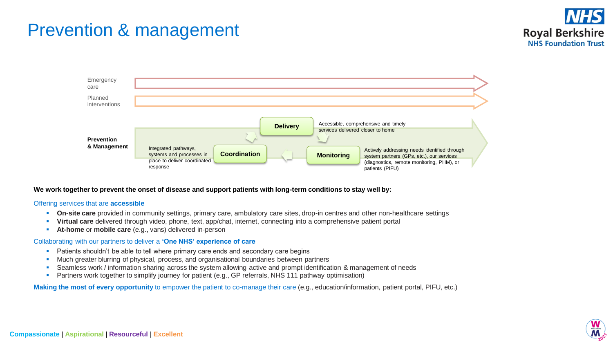# Prevention & management





#### **We work together to prevent the onset of disease and support patients with long-term conditions to stay well by:**

#### Offering services that are **accessible**

- **On-site care** provided in community settings, primary care, ambulatory care sites, drop-in centres and other non-healthcare settings
- **Virtual care** delivered through video, phone, text, app/chat, internet, connecting into a comprehensive patient portal
- **At-home** or **mobile care** (e.g., vans) delivered in-person

#### Collaborating with our partners to deliver a **'One NHS' experience of care**

- **•** Patients shouldn't be able to tell where primary care ends and secondary care begins
- **■** Much greater blurring of physical, process, and organisational boundaries between partners
- Seamless work / information sharing across the system allowing active and prompt identification & management of needs
- **•** Partners work together to simplify journey for patient (e.g., GP referrals, NHS 111 pathway optimisation)

**Making the most of every opportunity** to empower the patient to co-manage their care (e.g., education/information, patient portal, PIFU, etc.)

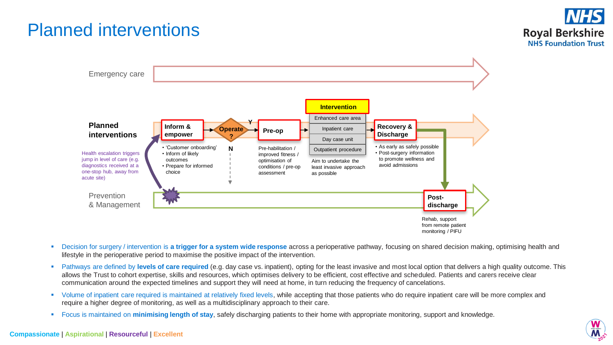# Planned interventions





- **EXPEDEED THE INTERT THE ACT TRIGG THE ACT A** System wide response across a perioperative pathway, focusing on shared decision making, optimising health and lifestyle in the perioperative period to maximise the positive impact of the intervention.
- Pathways are defined by levels of care required (e.g. day case vs. inpatient), opting for the least invasive and most local option that delivers a high quality outcome. This allows the Trust to cohort expertise, skills and resources, which optimises delivery to be efficient, cost effective and scheduled. Patients and carers receive clear communication around the expected timelines and support they will need at home, in turn reducing the frequency of cancelations.
- Volume of inpatient care required is maintained at relatively fixed levels, while accepting that those patients who do require inpatient care will be more complex and require a higher degree of monitoring, as well as a multidisciplinary approach to their care.
- Focus is maintained on **minimising length of stay**, safely discharging patients to their home with appropriate monitoring, support and knowledge.

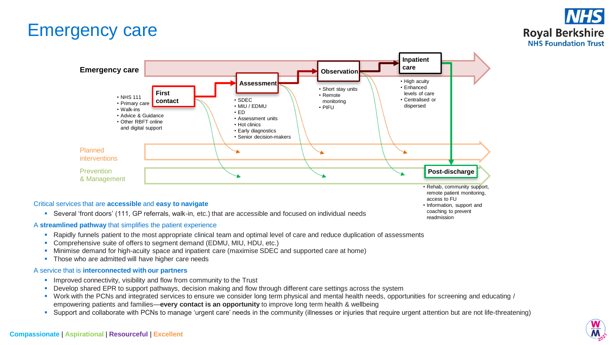# Emergency care





■ Several 'front doors' (111, GP referrals, walk-in, etc.) that are accessible and focused on individual needs

### A **streamlined pathway** that simplifies the patient experience

- Rapidly funnels patient to the most appropriate clinical team and optimal level of care and reduce duplication of assessments
- Comprehensive suite of offers to segment demand (EDMU, MIU, HDU, etc.)
- Minimise demand for high-acuity space and inpatient care (maximise SDEC and supported care at home)
- **·** Those who are admitted will have higher care needs

#### A service that is **interconnected with our partners**

- **•** Improved connectivity, visibility and flow from community to the Trust
- Develop shared EPR to support pathways, decision making and flow through different care settings across the system
- Work with the PCNs and integrated services to ensure we consider long term physical and mental health needs, opportunities for screening and educating / empowering patients and families—**every contact is an opportunity** to improve long term health & wellbeing
- Support and collaborate with PCNs to manage 'urgent care' needs in the community (illnesses or injuries that require urgent attention but are not life-threatening)

coaching to prevent readmission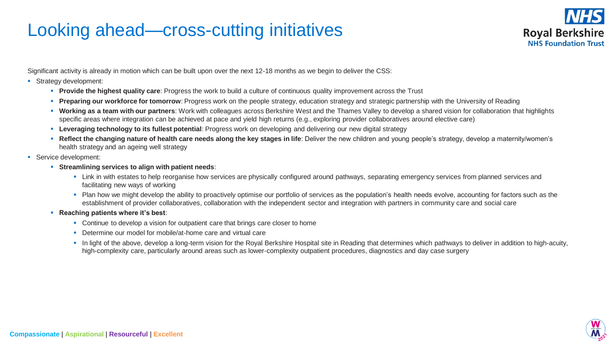# Looking ahead—cross-cutting initiatives



Significant activity is already in motion which can be built upon over the next 12-18 months as we begin to deliver the CSS:

- **•** Strategy development:
	- **Provide the highest quality care**: Progress the work to build a culture of continuous quality improvement across the Trust
	- **Preparing our workforce for tomorrow**: Progress work on the people strategy, education strategy and strategic partnership with the University of Reading
	- **Working as a team with our partners**: Work with colleagues across Berkshire West and the Thames Valley to develop a shared vision for collaboration that highlights specific areas where integration can be achieved at pace and yield high returns (e.g., exploring provider collaboratives around elective care)
	- **Exercise in the leveraging technology to its fullest potential:** Progress work on developing and delivering our new digital strategy
	- **Reflect the changing nature of health care needs along the key stages in life**: Deliver the new children and young people's strategy, develop a maternity/women's health strategy and an ageing well strategy
- **•** Service development:
	- **Streamlining services to align with patient needs**:
		- **EXT Link in with estates to help reorganise how services are physically configured around pathways, separating emergency services from planned services and** facilitating new ways of working
		- Plan how we might develop the ability to proactively optimise our portfolio of services as the population's health needs evolve, accounting for factors such as the establishment of provider collaboratives, collaboration with the independent sector and integration with partners in community care and social care
	- **Reaching patients where it's best**:
		- Continue to develop a vision for outpatient care that brings care closer to home
		- Determine our model for mobile/at-home care and virtual care
		- **•** In light of the above, develop a long-term vision for the Royal Berkshire Hospital site in Reading that determines which pathways to deliver in addition to high-acuity, high-complexity care, particularly around areas such as lower-complexity outpatient procedures, diagnostics and day case surgery